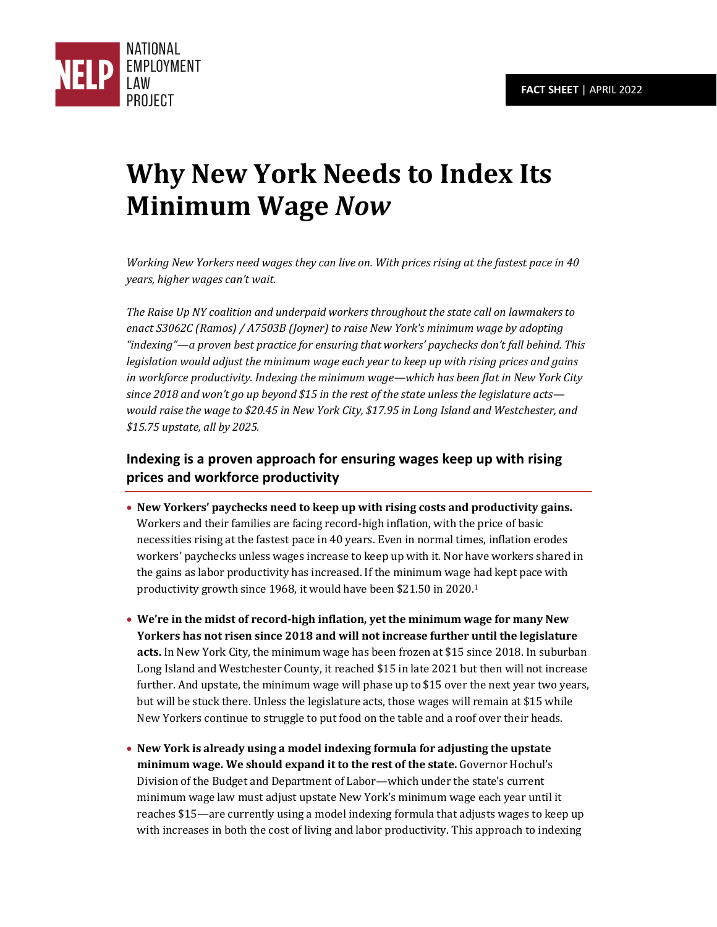

# **Why New York Needs to Index Its Minimum Wage** *Now*

*Working New Yorkers need wages they can live on. With prices rising at the fastest pace in 40 years, higher wages can't wait.* 

*The Raise Up NY coalition and underpaid workers throughout the state call on lawmakers to enact S3062C (Ramos) / A7503B (Joyner) to raise New York's minimum wage by adopting "indexing"—a proven best practice for ensuring that workers' paychecks don't fall behind. This legislation would adjust the minimum wage each year to keep up with rising prices and gains in workforce productivity. Indexing the minimum wage—which has been flat in New York City since 2018 and won't go up beyond \$15 in the rest of the state unless the legislature acts would raise the wage to \$20.45 in New York City, \$17.95 in Long Island and Westchester, and \$15.75 upstate, all by 2025.* 

## **Indexing is a proven approach for ensuring wages keep up with rising prices and workforce productivity**

- **New Yorkers' paychecks need to keep up with rising costs and productivity gains.** Workers and their families are facing record-high inflation, with the price of basic necessities rising at the fastest pace in 40 years. Even in normal times, inflation erodes workers' paychecks unless wages increase to keep up with it. Nor have workers shared in the gains as labor productivity has increased. If the minimum wage had kept pace with productivity growth since 1968, it would have been \$21.50 in 2020.<sup>1</sup>
- **We're in the midst of record-high inflation, yet the minimum wage for many New Yorkers has not risen since 2018 and will not increase further until the legislature acts.** In New York City, the minimum wage has been frozen at \$15 since 2018. In suburban Long Island and Westchester County, it reached \$15 in late 2021 but then will not increase further. And upstate, the minimum wage will phase up to \$15 over the next year two years, but will be stuck there. Unless the legislature acts, those wages will remain at \$15 while New Yorkers continue to struggle to put food on the table and a roof over their heads.
- **New York is already using a model indexing formula for adjusting the upstate minimum wage. We should expand it to the rest of the state.** Governor Hochul's Division of the Budget and Department of Labor—which under the state's current minimum wage law must adjust upstate New York's minimum wage each year until it reaches \$15—are currently using a model indexing formula that adjusts wages to keep up with increases in both the cost of living and labor productivity. This approach to indexing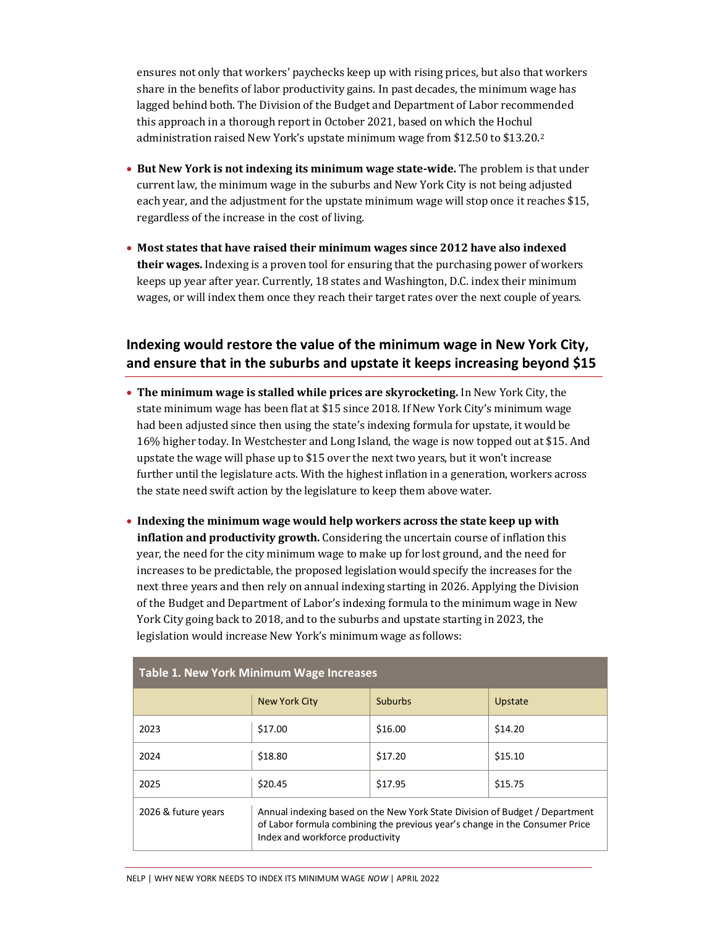ensures not only that workers' paychecks keep up with rising prices, but also that workers share in the benefits of labor productivity gains. In past decades, the minimum wage has lagged behind both. The Division of the Budget and Department of Labor recommended this approach in a thorough report in October 2021, based on which the Hochul administration raised New York's upstate minimum wage from \$12.50 to \$13.20.<sup>2</sup>

- **But New York is not indexing its minimum wage state-wide.** The problem is that under current law, the minimum wage in the suburbs and New York City is not being adjusted each year, and the adjustment for the upstate minimum wage will stop once it reaches \$15, regardless of the increase in the cost of living.
- **Most states that have raised their minimum wages since 2012 have also indexed their wages.** Indexing is a proven tool for ensuring that the purchasing power of workers keeps up year after year. Currently, 18 states and Washington, D.C. index their minimum wages, or will index them once they reach their target rates over the next couple of years.

### **Indexing would restore the value of the minimum wage in New York City, and ensure that in the suburbs and upstate it keeps increasing beyond \$15**

- **The minimum wage is stalled while prices are skyrocketing.** In New York City, the state minimum wage has been flat at \$15 since 2018. If New York City's minimum wage had been adjusted since then using the state's indexing formula for upstate, it would be 16% higher today. In Westchester and Long Island, the wage is now topped out at \$15. And upstate the wage will phase up to \$15 over the next two years, but it won't increase further until the legislature acts. With the highest inflation in a generation, workers across the state need swift action by the legislature to keep them above water.
- **Indexing the minimum wage would help workers across the state keep up with inflation and productivity growth.** Considering the uncertain course of inflation this year, the need for the city minimum wage to make up for lost ground, and the need for increases to be predictable, the proposed legislation would specify the increases for the next three years and then rely on annual indexing starting in 2026. Applying the Division of the Budget and Department of Labor's indexing formula to the minimum wage in New York City going back to 2018, and to the suburbs and upstate starting in 2023, the legislation would increase New York's minimum wage as follows:

| <b>Table 1. New York Minimum Wage Increases</b> |                                                                                                                                                                                                |                |         |  |  |  |  |
|-------------------------------------------------|------------------------------------------------------------------------------------------------------------------------------------------------------------------------------------------------|----------------|---------|--|--|--|--|
|                                                 | New York City                                                                                                                                                                                  | <b>Suburbs</b> | Upstate |  |  |  |  |
| 2023                                            | \$17.00                                                                                                                                                                                        | \$16.00        | \$14.20 |  |  |  |  |
| 2024                                            | \$18.80                                                                                                                                                                                        | \$17.20        | \$15.10 |  |  |  |  |
| 2025                                            | \$20.45                                                                                                                                                                                        | \$17.95        | \$15.75 |  |  |  |  |
| 2026 & future years                             | Annual indexing based on the New York State Division of Budget / Department<br>of Labor formula combining the previous year's change in the Consumer Price<br>Index and workforce productivity |                |         |  |  |  |  |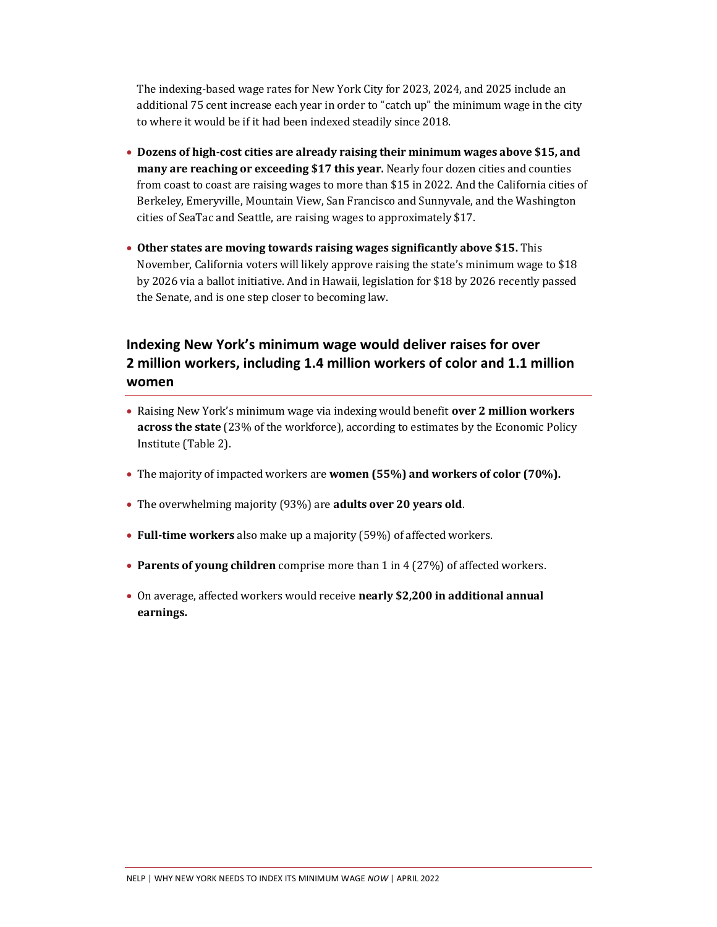The indexing-based wage rates for New York City for 2023, 2024, and 2025 include an additional 75 cent increase each year in order to "catch up" the minimum wage in the city to where it would be if it had been indexed steadily since 2018.

- **Dozens of high-cost cities are already raising their minimum wages above \$15, and many are reaching or exceeding \$17 this year.** Nearly four dozen cities and counties from coast to coast are raising wages to more than \$15 in 2022. And the California cities of Berkeley, Emeryville, Mountain View, San Francisco and Sunnyvale, and the Washington cities of SeaTac and Seattle, are raising wages to approximately \$17.
- **Other states are moving towards raising wages significantly above \$15.** This November, California voters will likely approve raising the state's minimum wage to \$18 by 2026 via a ballot initiative. And in Hawaii, legislation for \$18 by 2026 recently passed the Senate, and is one step closer to becoming law.

## **Indexing New York's minimum wage would deliver raises for over 2 million workers, including 1.4 million workers of color and 1.1 million women**

- Raising New York's minimum wage via indexing would benefit **over 2 million workers across the state** (23% of the workforce), according to estimates by the Economic Policy Institute (Table 2).
- The majority of impacted workers are **women (55%) and workers of color (70%).**
- The overwhelming majority (93%) are **adults over 20 years old**.
- **Full-time workers** also make up a majority (59%) of affected workers.
- **Parents of young children** comprise more than 1 in 4 (27%) of affected workers.
- On average, affected workers would receive **nearly \$2,200 in additional annual earnings.**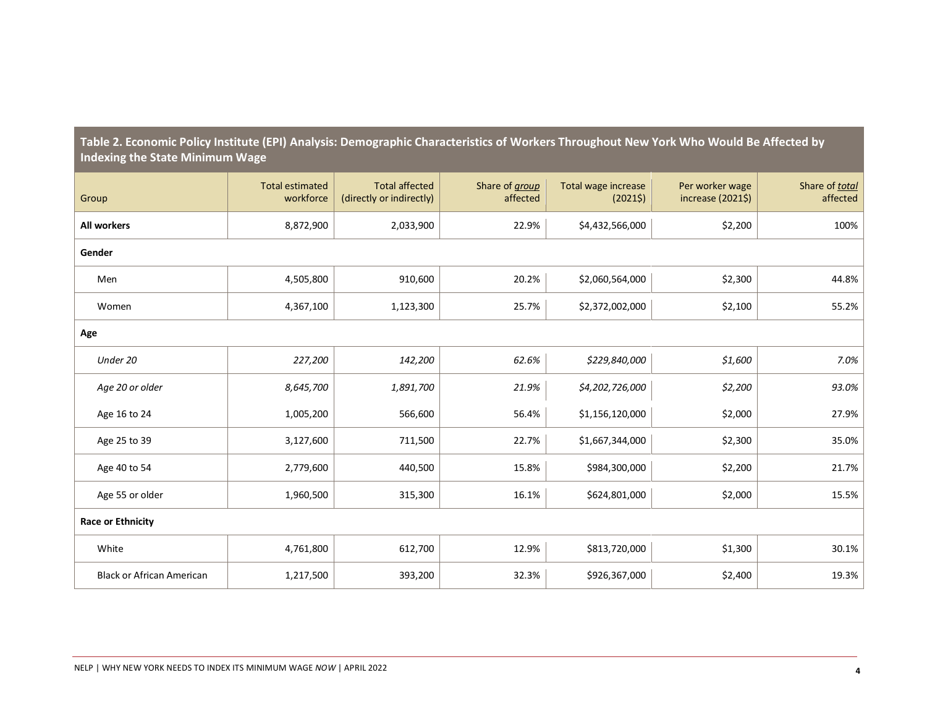| Group                            | <b>Total estimated</b><br>workforce | <b>Total affected</b><br>(directly or indirectly) | Share of <i>group</i><br>affected | Total wage increase<br>(20215) | Per worker wage<br>increase (2021\$) | Share of total<br>affected |
|----------------------------------|-------------------------------------|---------------------------------------------------|-----------------------------------|--------------------------------|--------------------------------------|----------------------------|
| <b>All workers</b>               | 8,872,900                           | 2,033,900                                         | 22.9%                             | \$4,432,566,000                | \$2,200                              | 100%                       |
| Gender                           |                                     |                                                   |                                   |                                |                                      |                            |
| Men                              | 4,505,800                           | 910,600                                           | 20.2%                             | \$2,060,564,000                | \$2,300                              | 44.8%                      |
| Women                            | 4,367,100                           | 1,123,300                                         | 25.7%                             | \$2,372,002,000                | \$2,100                              | 55.2%                      |
| Age                              |                                     |                                                   |                                   |                                |                                      |                            |
| Under 20                         | 227,200                             | 142,200                                           | 62.6%                             | \$229,840,000                  | \$1,600                              | 7.0%                       |
| Age 20 or older                  | 8,645,700                           | 1,891,700                                         | 21.9%                             | \$4,202,726,000                | \$2,200                              | 93.0%                      |
| Age 16 to 24                     | 1,005,200                           | 566,600                                           | 56.4%                             | \$1,156,120,000                | \$2,000                              | 27.9%                      |
| Age 25 to 39                     | 3,127,600                           | 711,500                                           | 22.7%                             | \$1,667,344,000                | \$2,300                              | 35.0%                      |
| Age 40 to 54                     | 2,779,600                           | 440,500                                           | 15.8%                             | \$984,300,000                  | \$2,200                              | 21.7%                      |
| Age 55 or older                  | 1,960,500                           | 315,300                                           | 16.1%                             | \$624,801,000                  | \$2,000                              | 15.5%                      |
| Race or Ethnicity                |                                     |                                                   |                                   |                                |                                      |                            |
| White                            | 4,761,800                           | 612,700                                           | 12.9%                             | \$813,720,000                  | \$1,300                              | 30.1%                      |
| <b>Black or African American</b> | 1,217,500                           | 393,200                                           | 32.3%                             | \$926,367,000                  | \$2,400                              | 19.3%                      |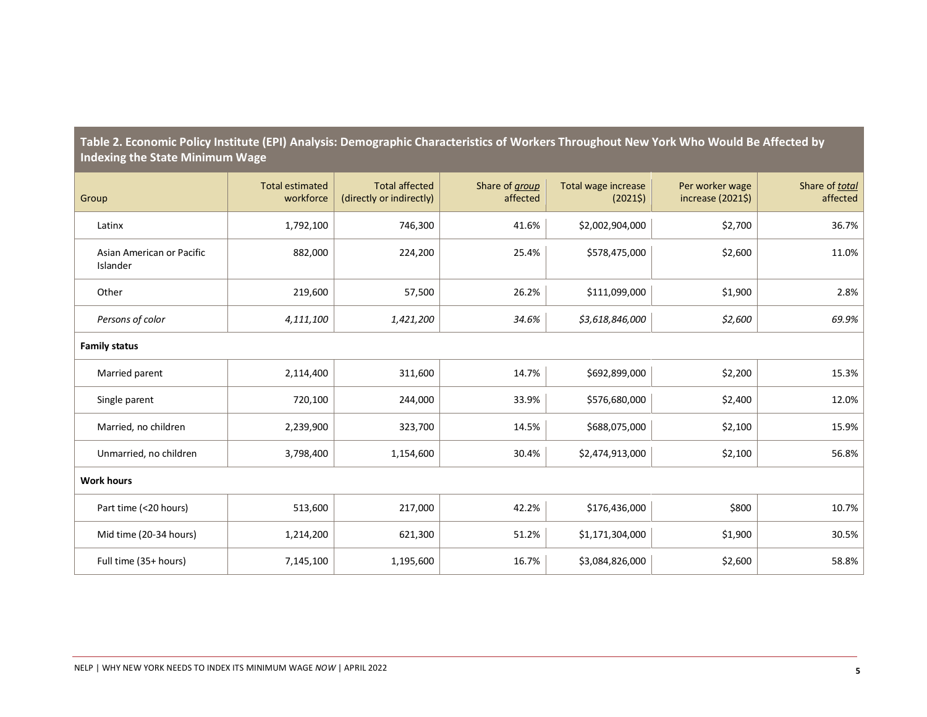| Group                                 | <b>Total estimated</b><br>workforce | <b>Total affected</b><br>(directly or indirectly) | Share of <i>group</i><br>affected | Total wage increase<br>(20215) | Per worker wage<br>increase (2021\$) | Share of total<br>affected |
|---------------------------------------|-------------------------------------|---------------------------------------------------|-----------------------------------|--------------------------------|--------------------------------------|----------------------------|
| Latinx                                | 1,792,100                           | 746,300                                           | 41.6%                             | \$2,002,904,000                | \$2,700                              | 36.7%                      |
| Asian American or Pacific<br>Islander | 882,000                             | 224,200                                           | 25.4%                             | \$578,475,000                  | \$2,600                              | 11.0%                      |
| Other                                 | 219,600                             | 57,500                                            | 26.2%                             | \$111,099,000                  | \$1,900                              | 2.8%                       |
| Persons of color                      | 4,111,100                           | 1,421,200                                         | 34.6%                             | \$3,618,846,000                | \$2,600                              | 69.9%                      |
| <b>Family status</b>                  |                                     |                                                   |                                   |                                |                                      |                            |
| Married parent                        | 2,114,400                           | 311,600                                           | 14.7%                             | \$692,899,000                  | \$2,200                              | 15.3%                      |
| Single parent                         | 720,100                             | 244,000                                           | 33.9%                             | \$576,680,000                  | \$2,400                              | 12.0%                      |
| Married, no children                  | 2,239,900                           | 323,700                                           | 14.5%                             | \$688,075,000                  | \$2,100                              | 15.9%                      |
| Unmarried, no children                | 3,798,400                           | 1,154,600                                         | 30.4%                             | \$2,474,913,000                | \$2,100                              | 56.8%                      |
| <b>Work hours</b>                     |                                     |                                                   |                                   |                                |                                      |                            |
| Part time (<20 hours)                 | 513,600                             | 217,000                                           | 42.2%                             | \$176,436,000                  | \$800                                | 10.7%                      |
| Mid time (20-34 hours)                | 1,214,200                           | 621,300                                           | 51.2%                             | \$1,171,304,000                | \$1,900                              | 30.5%                      |
| Full time (35+ hours)                 | 7,145,100                           | 1,195,600                                         | 16.7%                             | \$3,084,826,000                | \$2,600                              | 58.8%                      |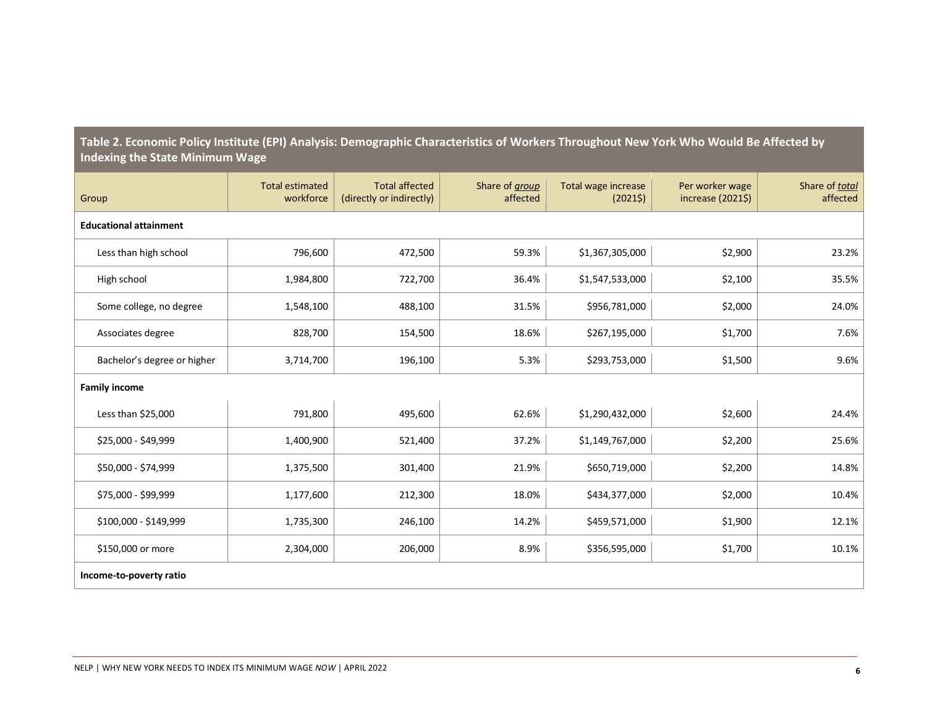| Group                         | <b>Total estimated</b><br>workforce | <b>Total affected</b><br>(directly or indirectly) | Share of <i>group</i><br>affected | Total wage increase<br>(20215) | Per worker wage<br>increase (2021\$) | Share of total<br>affected |
|-------------------------------|-------------------------------------|---------------------------------------------------|-----------------------------------|--------------------------------|--------------------------------------|----------------------------|
| <b>Educational attainment</b> |                                     |                                                   |                                   |                                |                                      |                            |
| Less than high school         | 796,600                             | 472,500                                           | 59.3%                             | \$1,367,305,000                | \$2,900                              | 23.2%                      |
| High school                   | 1,984,800                           | 722,700                                           | 36.4%                             | \$1,547,533,000                | \$2,100                              | 35.5%                      |
| Some college, no degree       | 1,548,100                           | 488,100                                           | 31.5%                             | \$956,781,000                  | \$2,000                              | 24.0%                      |
| Associates degree             | 828,700                             | 154,500                                           | 18.6%                             | \$267,195,000                  | \$1,700                              | 7.6%                       |
| Bachelor's degree or higher   | 3,714,700                           | 196,100                                           | 5.3%                              | \$293,753,000                  | \$1,500                              | 9.6%                       |
| <b>Family income</b>          |                                     |                                                   |                                   |                                |                                      |                            |
| Less than \$25,000            | 791,800                             | 495,600                                           | 62.6%                             | \$1,290,432,000                | \$2,600                              | 24.4%                      |
| \$25,000 - \$49,999           | 1,400,900                           | 521,400                                           | 37.2%                             | \$1,149,767,000                | \$2,200                              | 25.6%                      |
| \$50,000 - \$74,999           | 1,375,500                           | 301,400                                           | 21.9%                             | \$650,719,000                  | \$2,200                              | 14.8%                      |
| \$75,000 - \$99,999           | 1,177,600                           | 212,300                                           | 18.0%                             | \$434,377,000                  | \$2,000                              | 10.4%                      |
| \$100,000 - \$149,999         | 1,735,300                           | 246,100                                           | 14.2%                             | \$459,571,000                  | \$1,900                              | 12.1%                      |
| \$150,000 or more             | 2,304,000                           | 206,000                                           | 8.9%                              | \$356,595,000                  | \$1,700                              | 10.1%                      |
| Income-to-poverty ratio       |                                     |                                                   |                                   |                                |                                      |                            |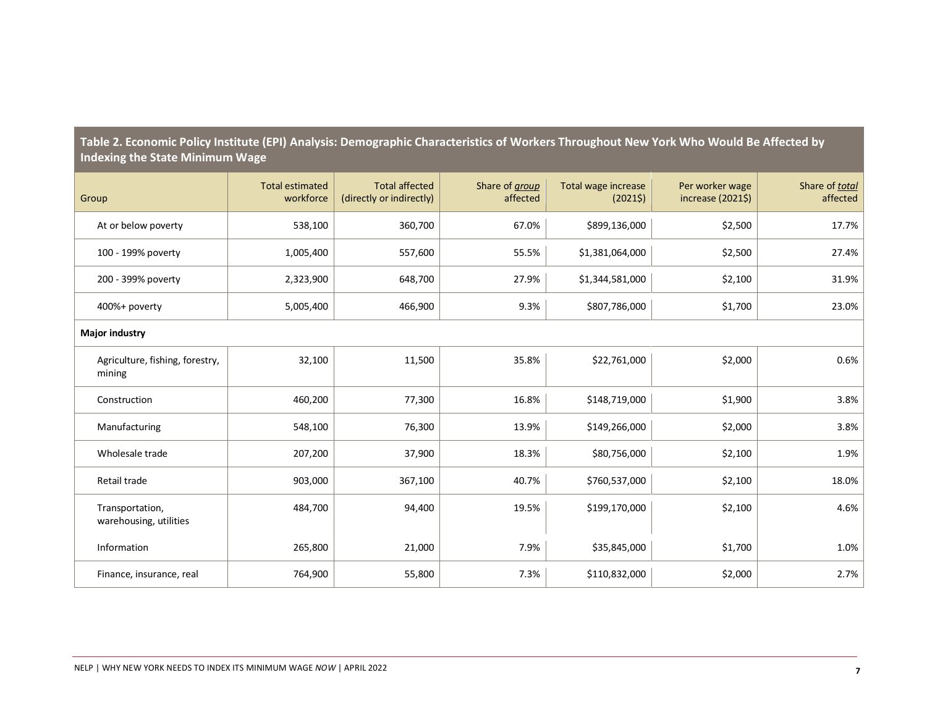| Group                                     | <b>Total estimated</b><br>workforce | <b>Total affected</b><br>(directly or indirectly) | Share of <i>group</i><br>affected | Total wage increase<br>(20215) | Per worker wage<br>increase $(2021\$ ) | Share of total<br>affected |
|-------------------------------------------|-------------------------------------|---------------------------------------------------|-----------------------------------|--------------------------------|----------------------------------------|----------------------------|
| At or below poverty                       | 538,100                             | 360,700                                           | 67.0%                             | \$899,136,000                  | \$2,500                                | 17.7%                      |
| 100 - 199% poverty                        | 1,005,400                           | 557,600                                           | 55.5%                             | \$1,381,064,000                | \$2,500                                | 27.4%                      |
| 200 - 399% poverty                        | 2,323,900                           | 648,700                                           | 27.9%                             | \$1,344,581,000                | \$2,100                                | 31.9%                      |
| 400%+ poverty                             | 5,005,400                           | 466,900                                           | 9.3%                              | \$807,786,000                  | \$1,700                                | 23.0%                      |
| Major industry                            |                                     |                                                   |                                   |                                |                                        |                            |
| Agriculture, fishing, forestry,<br>mining | 32,100                              | 11,500                                            | 35.8%                             | \$22,761,000                   | \$2,000                                | 0.6%                       |
| Construction                              | 460,200                             | 77,300                                            | 16.8%                             | \$148,719,000                  | \$1,900                                | 3.8%                       |
| Manufacturing                             | 548,100                             | 76,300                                            | 13.9%                             | \$149,266,000                  | \$2,000                                | 3.8%                       |
| Wholesale trade                           | 207,200                             | 37,900                                            | 18.3%                             | \$80,756,000                   | \$2,100                                | 1.9%                       |
| Retail trade                              | 903,000                             | 367,100                                           | 40.7%                             | \$760,537,000                  | \$2,100                                | 18.0%                      |
| Transportation,<br>warehousing, utilities | 484,700                             | 94,400                                            | 19.5%                             | \$199,170,000                  | \$2,100                                | 4.6%                       |
| Information                               | 265,800                             | 21,000                                            | 7.9%                              | \$35,845,000                   | \$1,700                                | 1.0%                       |
| Finance, insurance, real                  | 764,900                             | 55,800                                            | 7.3%                              | \$110,832,000                  | \$2,000                                | 2.7%                       |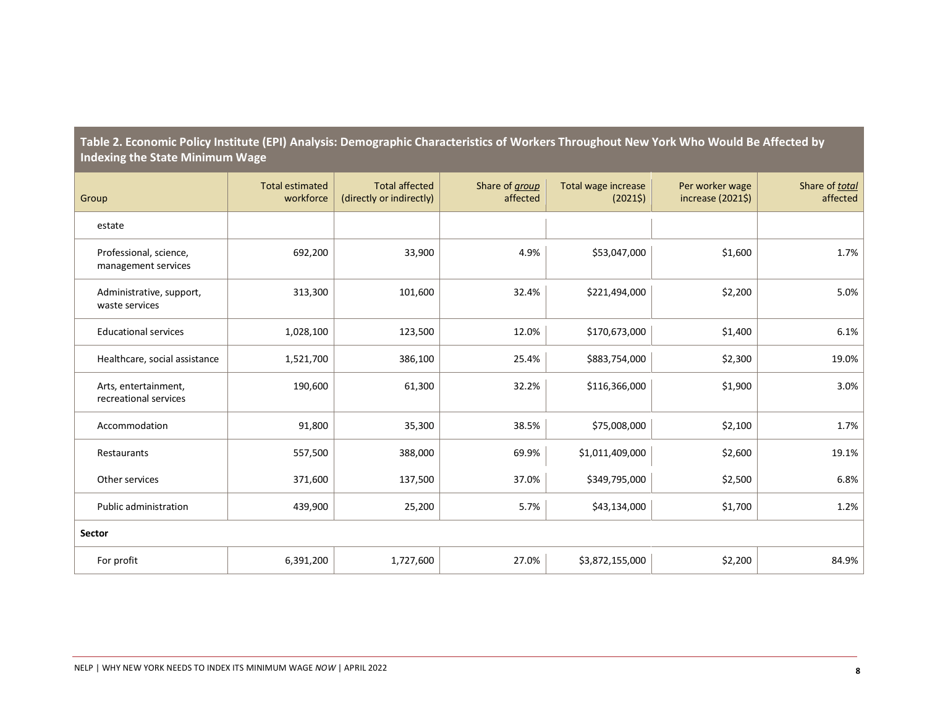| Group                                         | <b>Total estimated</b><br>workforce | <b>Total affected</b><br>(directly or indirectly) | Share of group<br>affected | Total wage increase<br>(20215) | Per worker wage<br>increase (2021\$) | Share of total<br>affected |
|-----------------------------------------------|-------------------------------------|---------------------------------------------------|----------------------------|--------------------------------|--------------------------------------|----------------------------|
| estate                                        |                                     |                                                   |                            |                                |                                      |                            |
| Professional, science,<br>management services | 692,200                             | 33,900                                            | 4.9%                       | \$53,047,000                   | \$1,600                              | 1.7%                       |
| Administrative, support,<br>waste services    | 313,300                             | 101,600                                           | 32.4%                      | \$221,494,000                  | \$2,200                              | 5.0%                       |
| <b>Educational services</b>                   | 1,028,100                           | 123,500                                           | 12.0%                      | \$170,673,000                  | \$1,400                              | 6.1%                       |
| Healthcare, social assistance                 | 1,521,700                           | 386,100                                           | 25.4%                      | \$883,754,000                  | \$2,300                              | 19.0%                      |
| Arts, entertainment,<br>recreational services | 190,600                             | 61,300                                            | 32.2%                      | \$116,366,000                  | \$1,900                              | 3.0%                       |
| Accommodation                                 | 91,800                              | 35,300                                            | 38.5%                      | \$75,008,000                   | \$2,100                              | 1.7%                       |
| Restaurants                                   | 557,500                             | 388,000                                           | 69.9%                      | \$1,011,409,000                | \$2,600                              | 19.1%                      |
| Other services                                | 371,600                             | 137,500                                           | 37.0%                      | \$349,795,000                  | \$2,500                              | 6.8%                       |
| Public administration                         | 439,900                             | 25,200                                            | 5.7%                       | \$43,134,000                   | \$1,700                              | 1.2%                       |
| Sector                                        |                                     |                                                   |                            |                                |                                      |                            |
| For profit                                    | 6,391,200                           | 1,727,600                                         | 27.0%                      | \$3,872,155,000                | \$2,200                              | 84.9%                      |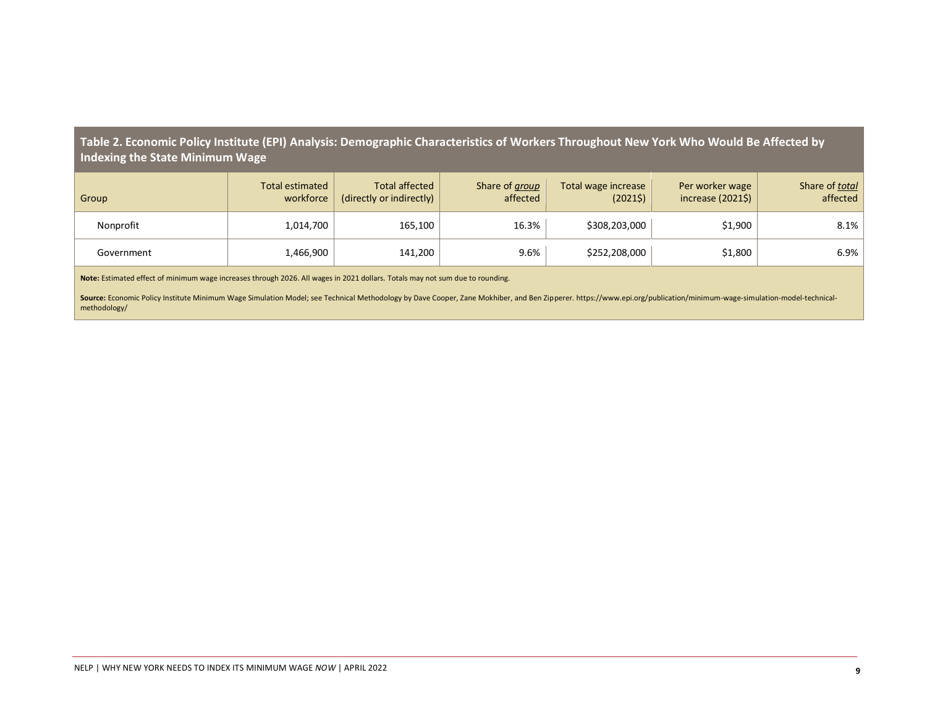| Group      | <b>Total estimated</b><br>workforce | <b>Total affected</b><br>(directly or indirectly) | Share of group<br>affected | Total wage increase<br>(20215) | Per worker wage<br>increase $(20215)$ | Share of total<br>affected |
|------------|-------------------------------------|---------------------------------------------------|----------------------------|--------------------------------|---------------------------------------|----------------------------|
| Nonprofit  | 1,014,700                           | 165,100                                           | 16.3%                      | \$308,203,000                  | \$1,900                               | 8.1%                       |
| Government | 1,466,900                           | 141,200                                           | 9.6%                       | \$252,208,000                  | \$1,800                               | 6.9%                       |

**Note:** Estimated effect of minimum wage increases through 2026. All wages in 2021 dollars. Totals may not sum due to rounding.

Source: Economic Policy Institute Minimum Wage Simulation Model; see Technical Methodology by Dave Cooper, Zane Mokhiber, and Ben Zipperer. https://www.epi.org/publication/minimum-wage-simulation-model-technicalmethodology/